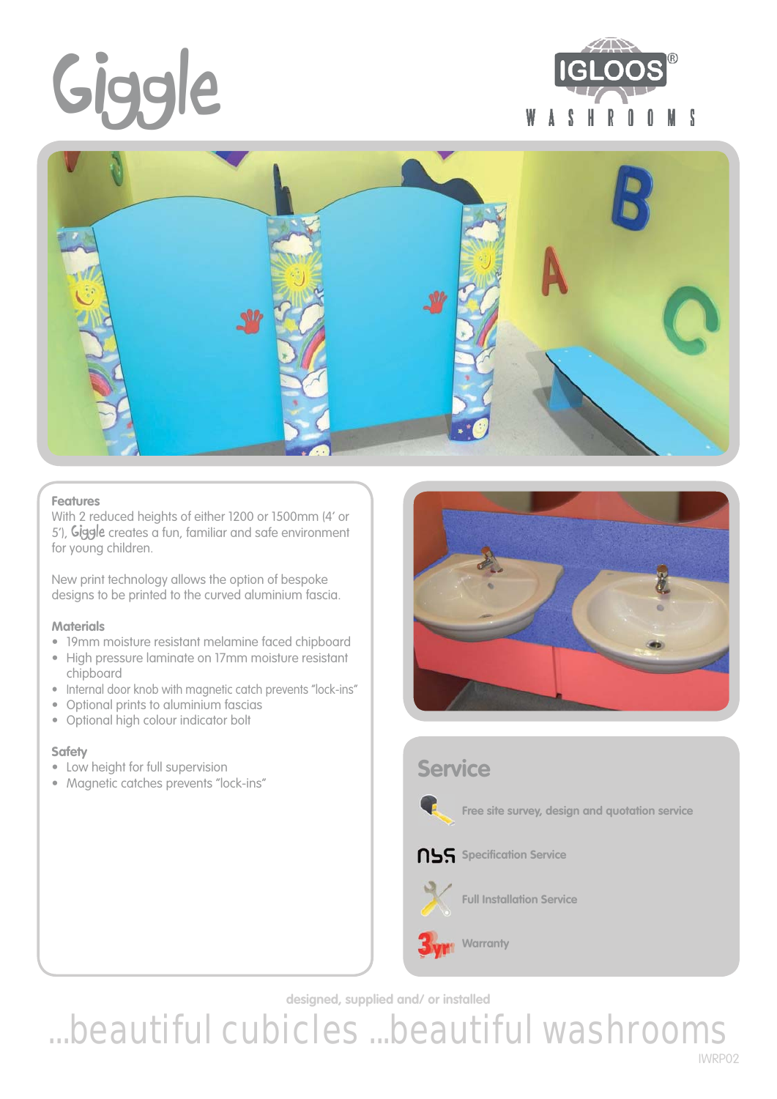# **Giggle**





### **Features**

With 2 reduced heights of either 1200 or 1500mm (4' or 5'), **Giggle** creates a fun, familiar and safe environment for young children.

New print technology allows the option of bespoke designs to be printed to the curved aluminium fascia.

#### **Materials**

- 19mm moisture resistant melamine faced chipboard
- High pressure laminate on 17mm moisture resistant chipboard
- Internal door knob with magnetic catch prevents "lock-ins"
- Optional prints to aluminium fascias
- Optional high colour indicator bolt

## **Safety**

- Low height for full supervision
- Magnetic catches prevents "lock-ins"



## **Service NSS** Specification Service **Free site survey, design and quotation service**



**Warranty**

**Full Installation Service**

**designed, supplied and/ or installed**

...beautiful cubicles ...beautiful washrooms IWRP02